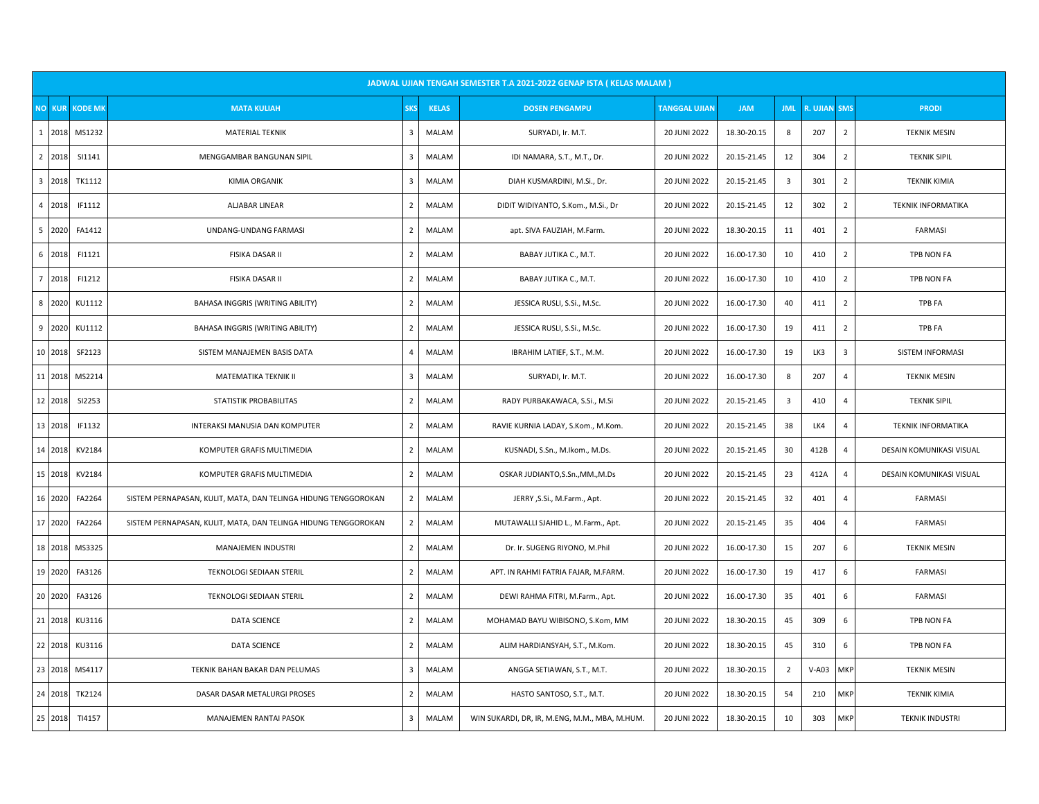|                         |                                 |                                                                |                |              | JADWAL UJIAN TENGAH SEMESTER T.A 2021-2022 GENAP ISTA ( KELAS MALAM ) |                      |             |                         |                     |                         |                           |
|-------------------------|---------------------------------|----------------------------------------------------------------|----------------|--------------|-----------------------------------------------------------------------|----------------------|-------------|-------------------------|---------------------|-------------------------|---------------------------|
|                         | <b>NO KUR</b><br><b>KODE MK</b> | <b>MATA KULIAH</b>                                             | <b>SKS</b>     | <b>KELAS</b> | <b>DOSEN PENGAMPU</b>                                                 | <b>TANGGAL UJIAN</b> | <b>JAM</b>  | <b>JML</b>              | <b>R. UJIAN SMS</b> |                         | <b>PRODI</b>              |
| 1                       | 2018<br>MS1232                  | <b>MATERIAL TEKNIK</b>                                         | 3              | MALAM        | SURYADI, Ir. M.T.                                                     | 20 JUNI 2022         | 18.30-20.15 | 8                       | 207                 | $\overline{2}$          | <b>TEKNIK MESIN</b>       |
| $\overline{2}$          | 2018<br>SI1141                  | MENGGAMBAR BANGUNAN SIPIL                                      | $\overline{3}$ | MALAM        | IDI NAMARA, S.T., M.T., Dr.                                           | 20 JUNI 2022         | 20.15-21.45 | 12                      | 304                 | $\overline{2}$          | <b>TEKNIK SIPIL</b>       |
| $\overline{\mathbf{3}}$ | 2018<br>TK1112                  | <b>KIMIA ORGANIK</b>                                           | 3              | MALAM        | DIAH KUSMARDINI, M.Si., Dr.                                           | 20 JUNI 2022         | 20.15-21.45 | $\overline{\mathbf{3}}$ | 301                 | $\overline{2}$          | <b>TEKNIK KIMIA</b>       |
| $\overline{4}$          | 2018<br>IF1112                  | <b>ALJABAR LINEAR</b>                                          | $\overline{2}$ | MALAM        | DIDIT WIDIYANTO, S.Kom., M.Si., Dr                                    | 20 JUNI 2022         | 20.15-21.45 | 12                      | 302                 | $\overline{2}$          | <b>TEKNIK INFORMATIKA</b> |
| 5                       | 2020<br>FA1412                  | UNDANG-UNDANG FARMASI                                          | $\overline{2}$ | MALAM        | apt. SIVA FAUZIAH, M.Farm.                                            | 20 JUNI 2022         | 18.30-20.15 | 11                      | 401                 | $\overline{2}$          | <b>FARMASI</b>            |
| 6                       | 2018<br>FI1121                  | FISIKA DASAR II                                                | $\overline{2}$ | MALAM        | BABAY JUTIKA C., M.T.                                                 | 20 JUNI 2022         | 16.00-17.30 | 10                      | 410                 | $\overline{2}$          | TPB NON FA                |
| $\overline{7}$          | FI1212<br>2018                  | <b>FISIKA DASAR II</b>                                         | $\overline{2}$ | MALAM        | BABAY JUTIKA C., M.T.                                                 | 20 JUNI 2022         | 16.00-17.30 | 10                      | 410                 | $\overline{2}$          | TPB NON FA                |
| 8                       | 2020<br>KU1112                  | BAHASA INGGRIS (WRITING ABILITY)                               | $\overline{2}$ | MALAM        | JESSICA RUSLI, S.Si., M.Sc.                                           | 20 JUNI 2022         | 16.00-17.30 | 40                      | 411                 | $\overline{2}$          | <b>TPB FA</b>             |
| 9                       | 2020<br>KU1112                  | BAHASA INGGRIS (WRITING ABILITY)                               | $\overline{2}$ | MALAM        | JESSICA RUSLI, S.Si., M.Sc.                                           | 20 JUNI 2022         | 16.00-17.30 | 19                      | 411                 | $\overline{2}$          | <b>TPB FA</b>             |
|                         | 10 2018<br>SF2123               | SISTEM MANAJEMEN BASIS DATA                                    | $\overline{4}$ | MALAM        | IBRAHIM LATIEF, S.T., M.M.                                            | 20 JUNI 2022         | 16.00-17.30 | 19                      | LK3                 | $\overline{\mathbf{3}}$ | SISTEM INFORMASI          |
|                         | 11 2018<br>MS2214               | MATEMATIKA TEKNIK II                                           | $\overline{3}$ | MALAM        | SURYADI, Ir. M.T.                                                     | 20 JUNI 2022         | 16.00-17.30 | 8                       | 207                 | $\overline{4}$          | <b>TEKNIK MESIN</b>       |
|                         | 12 2018<br>SI2253               | STATISTIK PROBABILITAS                                         | $\overline{2}$ | MALAM        | RADY PURBAKAWACA, S.Si., M.Si                                         | 20 JUNI 2022         | 20.15-21.45 | $\overline{3}$          | 410                 | $\overline{4}$          | <b>TEKNIK SIPIL</b>       |
|                         | 13 2018<br>IF1132               | INTERAKSI MANUSIA DAN KOMPUTER                                 | $\overline{2}$ | MALAM        | RAVIE KURNIA LADAY, S.Kom., M.Kom.                                    | 20 JUNI 2022         | 20.15-21.45 | 38                      | LK4                 | $\overline{4}$          | <b>TEKNIK INFORMATIKA</b> |
|                         | 14 2018<br>KV2184               | KOMPUTER GRAFIS MULTIMEDIA                                     | $\overline{2}$ | MALAM        | KUSNADI, S.Sn., M.Ikom., M.Ds.                                        | 20 JUNI 2022         | 20.15-21.45 | 30                      | 412B                | $\overline{4}$          | DESAIN KOMUNIKASI VISUAL  |
|                         | 15 2018<br>KV2184               | KOMPUTER GRAFIS MULTIMEDIA                                     | $\overline{2}$ | MALAM        | OSKAR JUDIANTO, S.Sn., MM., M.Ds                                      | 20 JUNI 2022         | 20.15-21.45 | 23                      | 412A                | $\overline{4}$          | DESAIN KOMUNIKASI VISUAL  |
|                         | 16 2020<br>FA2264               | SISTEM PERNAPASAN, KULIT, MATA, DAN TELINGA HIDUNG TENGGOROKAN | $\overline{2}$ | MALAM        | JERRY , S.Si., M.Farm., Apt.                                          | 20 JUNI 2022         | 20.15-21.45 | 32                      | 401                 | $\overline{4}$          | <b>FARMASI</b>            |
|                         | 17 2020<br>FA2264               | SISTEM PERNAPASAN, KULIT, MATA, DAN TELINGA HIDUNG TENGGOROKAN | $\overline{2}$ | MALAM        | MUTAWALLI SJAHID L., M.Farm., Apt.                                    | 20 JUNI 2022         | 20.15-21.45 | 35                      | 404                 | $\overline{4}$          | <b>FARMASI</b>            |
|                         | 18 2018<br>MS3325               | MANAJEMEN INDUSTRI                                             | $\overline{2}$ | MALAM        | Dr. Ir. SUGENG RIYONO, M.Phil                                         | 20 JUNI 2022         | 16.00-17.30 | 15                      | 207                 | 6                       | <b>TEKNIK MESIN</b>       |
|                         | 19 2020<br>FA3126               | TEKNOLOGI SEDIAAN STERIL                                       | $\overline{2}$ | MALAM        | APT. IN RAHMI FATRIA FAJAR, M.FARM.                                   | 20 JUNI 2022         | 16.00-17.30 | 19                      | 417                 | 6                       | <b>FARMASI</b>            |
|                         | 20 2020<br>FA3126               | TEKNOLOGI SEDIAAN STERIL                                       | $\overline{2}$ | MALAM        | DEWI RAHMA FITRI, M.Farm., Apt.                                       | 20 JUNI 2022         | 16.00-17.30 | 35                      | 401                 | 6                       | <b>FARMASI</b>            |
| 21                      | 2018<br>KU3116                  | <b>DATA SCIENCE</b>                                            | $\overline{2}$ | MALAM        | MOHAMAD BAYU WIBISONO, S.Kom, MM                                      | 20 JUNI 2022         | 18.30-20.15 | 45                      | 309                 | 6                       | TPB NON FA                |
|                         | 22 2018<br>KU3116               | <b>DATA SCIENCE</b>                                            | $\overline{2}$ | MALAM        | ALIM HARDIANSYAH, S.T., M.Kom.                                        | 20 JUNI 2022         | 18.30-20.15 | 45                      | 310                 | 6                       | <b>TPB NON FA</b>         |
| 23                      | 2018<br>MS4117                  | TEKNIK BAHAN BAKAR DAN PELUMAS                                 | $\overline{3}$ | MALAM        | ANGGA SETIAWAN, S.T., M.T.                                            | 20 JUNI 2022         | 18.30-20.15 | $\overline{2}$          | $V-A03$             | MKP                     | <b>TEKNIK MESIN</b>       |
|                         | 24 2018<br>TK2124               | DASAR DASAR METALURGI PROSES                                   | $\overline{2}$ | MALAM        | HASTO SANTOSO, S.T., M.T.                                             | 20 JUNI 2022         | 18.30-20.15 | 54                      | 210                 | <b>MKP</b>              | <b>TEKNIK KIMIA</b>       |
| 25                      | 2018<br>TI4157                  | MANAJEMEN RANTAI PASOK                                         | 3              | MALAM        | WIN SUKARDI, DR, IR, M.ENG, M.M., MBA, M.HUM.                         | 20 JUNI 2022         | 18.30-20.15 | 10                      | 303                 | MKP                     | <b>TEKNIK INDUSTRI</b>    |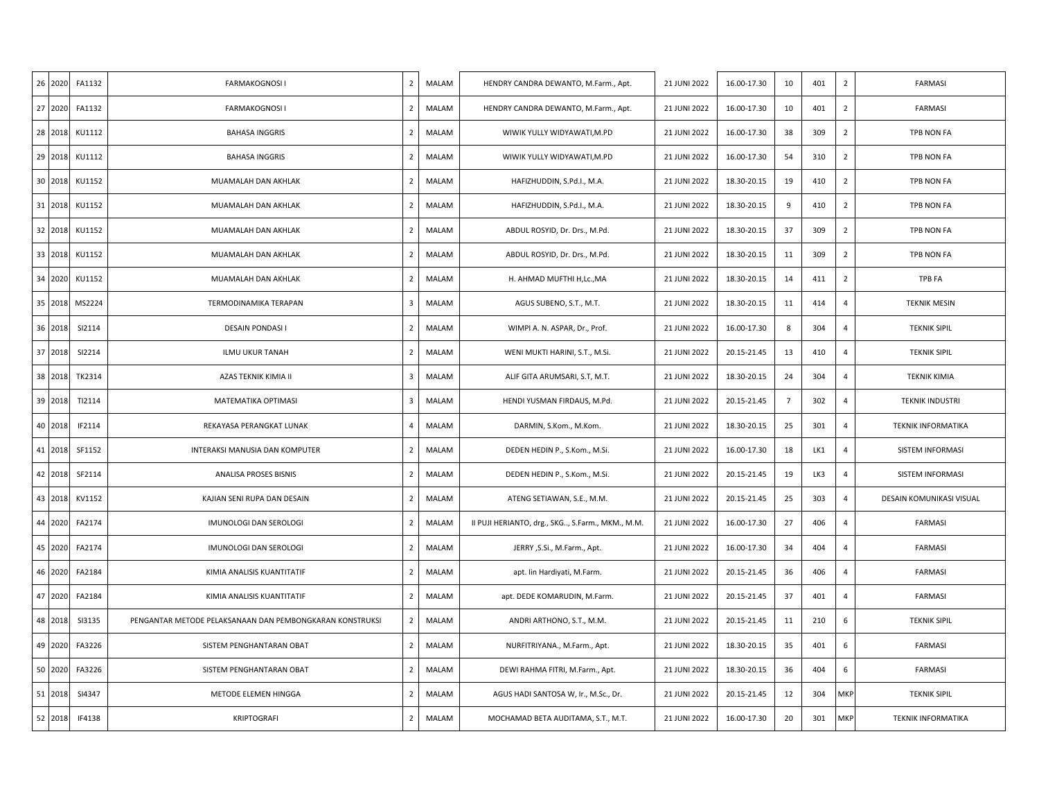| 26 2020 | FA1132 | <b>FARMAKOGNOSI I</b>                                    | $\overline{2}$ | MALAM | HENDRY CANDRA DEWANTO, M.Farm., Apt.             | 21 JUNI 2022 | 16.00-17.30 | 10             | 401 | $\overline{2}$ | <b>FARMASI</b>            |
|---------|--------|----------------------------------------------------------|----------------|-------|--------------------------------------------------|--------------|-------------|----------------|-----|----------------|---------------------------|
| 27 2020 | FA1132 | <b>FARMAKOGNOSI I</b>                                    | $\overline{2}$ | MALAM | HENDRY CANDRA DEWANTO, M.Farm., Apt.             | 21 JUNI 2022 | 16.00-17.30 | 10             | 401 | $\overline{2}$ | FARMASI                   |
| 28 2018 | KU1112 | <b>BAHASA INGGRIS</b>                                    | $\overline{2}$ | MALAM | WIWIK YULLY WIDYAWATI, M.PD                      | 21 JUNI 2022 | 16.00-17.30 | 38             | 309 | $\overline{2}$ | TPB NON FA                |
| 29 2018 | KU1112 | <b>BAHASA INGGRIS</b>                                    | $\overline{2}$ | MALAM | WIWIK YULLY WIDYAWATI, M.PD                      | 21 JUNI 2022 | 16.00-17.30 | 54             | 310 | $\overline{2}$ | TPB NON FA                |
| 30 2018 | KU1152 | MUAMALAH DAN AKHLAK                                      | $\overline{2}$ | MALAM | HAFIZHUDDIN, S.Pd.I., M.A.                       | 21 JUNI 2022 | 18.30-20.15 | 19             | 410 | $\overline{2}$ | TPB NON FA                |
| 31 2018 | KU1152 | MUAMALAH DAN AKHLAK                                      | $\overline{2}$ | MALAM | HAFIZHUDDIN, S.Pd.I., M.A.                       | 21 JUNI 2022 | 18.30-20.15 | 9              | 410 | $\overline{2}$ | TPB NON FA                |
| 32 2018 | KU1152 | MUAMALAH DAN AKHLAK                                      | $\overline{2}$ | MALAM | ABDUL ROSYID, Dr. Drs., M.Pd.                    | 21 JUNI 2022 | 18.30-20.15 | 37             | 309 | $\overline{2}$ | TPB NON FA                |
| 33 2018 | KU1152 | MUAMALAH DAN AKHLAK                                      | $\overline{2}$ | MALAM | ABDUL ROSYID, Dr. Drs., M.Pd.                    | 21 JUNI 2022 | 18.30-20.15 | 11             | 309 | $\overline{2}$ | TPB NON FA                |
| 34 2020 | KU1152 | MUAMALAH DAN AKHLAK                                      | $\overline{2}$ | MALAM | H. AHMAD MUFTHI H,Lc., MA                        | 21 JUNI 2022 | 18.30-20.15 | 14             | 411 | $\overline{2}$ | <b>TPB FA</b>             |
| 35 2018 | MS2224 | TERMODINAMIKA TERAPAN                                    | 3              | MALAM | AGUS SUBENO, S.T., M.T.                          | 21 JUNI 2022 | 18.30-20.15 | 11             | 414 | $\overline{4}$ | <b>TEKNIK MESIN</b>       |
| 36 2018 | SI2114 | DESAIN PONDASI I                                         | $\overline{2}$ | MALAM | WIMPI A. N. ASPAR, Dr., Prof.                    | 21 JUNI 2022 | 16.00-17.30 | 8              | 304 | $\overline{4}$ | <b>TEKNIK SIPIL</b>       |
| 37 2018 | SI2214 | ILMU UKUR TANAH                                          | $\overline{2}$ | MALAM | WENI MUKTI HARINI, S.T., M.Si.                   | 21 JUNI 2022 | 20.15-21.45 | 13             | 410 | $\overline{4}$ | <b>TEKNIK SIPIL</b>       |
| 38 2018 | TK2314 | AZAS TEKNIK KIMIA II                                     | 3              | MALAM | ALIF GITA ARUMSARI, S.T, M.T.                    | 21 JUNI 2022 | 18.30-20.15 | 24             | 304 | 4              | <b>TEKNIK KIMIA</b>       |
| 39 2018 | TI2114 | MATEMATIKA OPTIMASI                                      | 3              | MALAM | HENDI YUSMAN FIRDAUS, M.Pd.                      | 21 JUNI 2022 | 20.15-21.45 | $\overline{7}$ | 302 | $\overline{4}$ | <b>TEKNIK INDUSTRI</b>    |
| 40 2018 | IF2114 | REKAYASA PERANGKAT LUNAK                                 | 4              | MALAM | DARMIN, S.Kom., M.Kom.                           | 21 JUNI 2022 | 18.30-20.15 | 25             | 301 | 4              | <b>TEKNIK INFORMATIKA</b> |
| 41 2018 | SF1152 | INTERAKSI MANUSIA DAN KOMPUTER                           | $\overline{2}$ | MALAM | DEDEN HEDIN P., S.Kom., M.Si.                    | 21 JUNI 2022 | 16.00-17.30 | 18             | LK1 | $\overline{4}$ | SISTEM INFORMASI          |
| 42 2018 | SF2114 | <b>ANALISA PROSES BISNIS</b>                             | $\overline{2}$ | MALAM | DEDEN HEDIN P., S.Kom., M.Si.                    | 21 JUNI 2022 | 20.15-21.45 | 19             | LK3 | $\overline{4}$ | SISTEM INFORMASI          |
| 43 2018 | KV1152 | KAJIAN SENI RUPA DAN DESAIN                              | $\overline{2}$ | MALAM | ATENG SETIAWAN, S.E., M.M.                       | 21 JUNI 2022 | 20.15-21.45 | 25             | 303 | $\overline{4}$ | DESAIN KOMUNIKASI VISUAL  |
| 44 2020 | FA2174 | IMUNOLOGI DAN SEROLOGI                                   | $\overline{2}$ | MALAM | II PUJI HERIANTO, drg., SKG, S.Farm., MKM., M.M. | 21 JUNI 2022 | 16.00-17.30 | 27             | 406 | $\overline{4}$ | <b>FARMASI</b>            |
| 45 2020 | FA2174 | IMUNOLOGI DAN SEROLOGI                                   | $\overline{2}$ | MALAM | JERRY , S.Si., M.Farm., Apt.                     | 21 JUNI 2022 | 16.00-17.30 | 34             | 404 | $\overline{4}$ | <b>FARMASI</b>            |
| 46 2020 | FA2184 | KIMIA ANALISIS KUANTITATIF                               | $\overline{2}$ | MALAM | apt. Iin Hardiyati, M.Farm.                      | 21 JUNI 2022 | 20.15-21.45 | 36             | 406 | $\overline{4}$ | FARMASI                   |
| 47 2020 | FA2184 | KIMIA ANALISIS KUANTITATIF                               | $\overline{2}$ | MALAM | apt. DEDE KOMARUDIN, M.Farm.                     | 21 JUNI 2022 | 20.15-21.45 | 37             | 401 | $\overline{4}$ | FARMASI                   |
| 48 2018 | SI3135 | PENGANTAR METODE PELAKSANAAN DAN PEMBONGKARAN KONSTRUKSI | $\overline{2}$ | MALAM | ANDRI ARTHONO, S.T., M.M.                        | 21 JUNI 2022 | 20.15-21.45 | 11             | 210 | 6              | <b>TEKNIK SIPIL</b>       |
| 49 2020 | FA3226 | SISTEM PENGHANTARAN OBAT                                 | $\overline{2}$ | MALAM | NURFITRIYANA., M.Farm., Apt.                     | 21 JUNI 2022 | 18.30-20.15 | 35             | 401 | 6              | FARMASI                   |
| 50 2020 | FA3226 | SISTEM PENGHANTARAN OBAT                                 | $\overline{2}$ | MALAM | DEWI RAHMA FITRI, M.Farm., Apt.                  | 21 JUNI 2022 | 18.30-20.15 | 36             | 404 | 6              | <b>FARMASI</b>            |
| 51 2018 | SI4347 | METODE ELEMEN HINGGA                                     | $\overline{2}$ | MALAM | AGUS HADI SANTOSA W, Ir., M.Sc., Dr.             | 21 JUNI 2022 | 20.15-21.45 | 12             | 304 | MKP            | <b>TEKNIK SIPIL</b>       |
| 52 2018 | IF4138 | KRIPTOGRAFI                                              | $\overline{2}$ | MALAM | MOCHAMAD BETA AUDITAMA, S.T., M.T.               | 21 JUNI 2022 | 16.00-17.30 | 20             | 301 | MKP            | <b>TEKNIK INFORMATIKA</b> |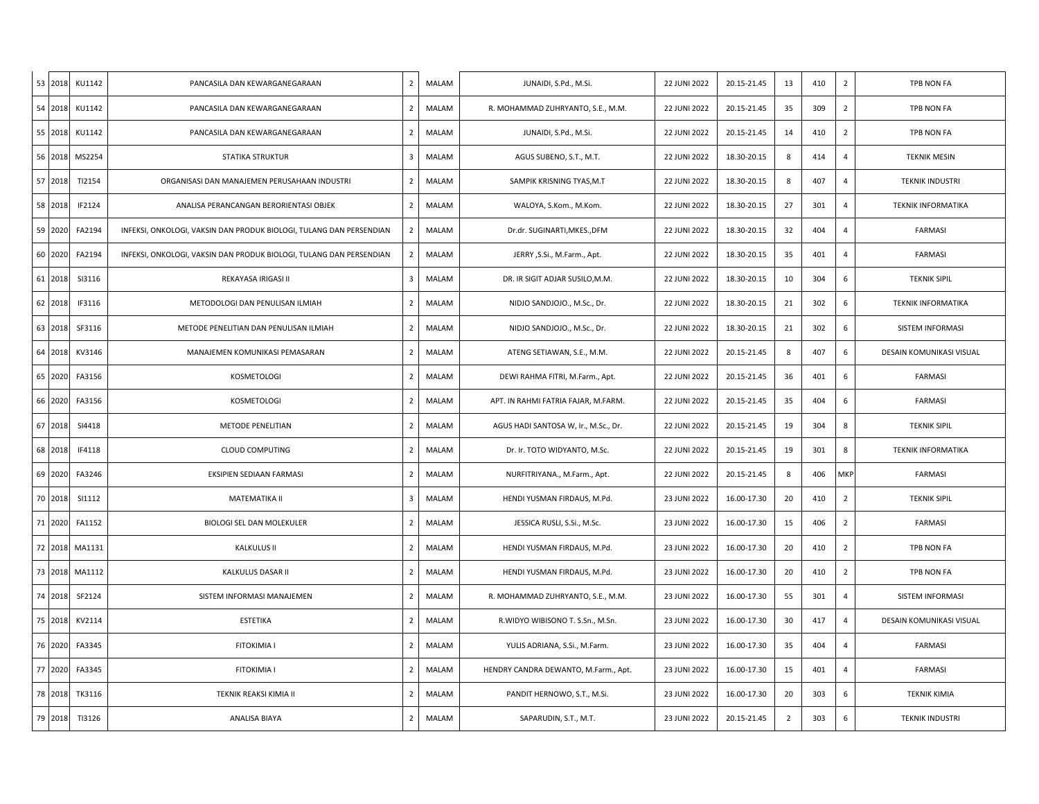| 53 2018 | KU1142 | PANCASILA DAN KEWARGANEGARAAN                                       | $\overline{2}$          | MALAM | JUNAIDI, S.Pd., M.Si.                | 22 JUNI 2022 | 20.15-21.45 | 13             | 410 | $\overline{2}$ | TPB NON FA                |
|---------|--------|---------------------------------------------------------------------|-------------------------|-------|--------------------------------------|--------------|-------------|----------------|-----|----------------|---------------------------|
| 54 2018 | KU1142 | PANCASILA DAN KEWARGANEGARAAN                                       | $\overline{2}$          | MALAM | R. MOHAMMAD ZUHRYANTO, S.E., M.M.    | 22 JUNI 2022 | 20.15-21.45 | 35             | 309 | $\overline{2}$ | TPB NON FA                |
| 55 2018 | KU1142 | PANCASILA DAN KEWARGANEGARAAN                                       | $\overline{2}$          | MALAM | JUNAIDI, S.Pd., M.Si.                | 22 JUNI 2022 | 20.15-21.45 | 14             | 410 | $\overline{2}$ | TPB NON FA                |
| 56 2018 | MS2254 | <b>STATIKA STRUKTUR</b>                                             | $\overline{\mathbf{3}}$ | MALAM | AGUS SUBENO, S.T., M.T.              | 22 JUNI 2022 | 18.30-20.15 | 8              | 414 | $\overline{4}$ | <b>TEKNIK MESIN</b>       |
| 57 2018 | TI2154 | ORGANISASI DAN MANAJEMEN PERUSAHAAN INDUSTRI                        | 2                       | MALAM | SAMPIK KRISNING TYAS, M.T            | 22 JUNI 2022 | 18.30-20.15 | 8              | 407 | $\overline{4}$ | <b>TEKNIK INDUSTRI</b>    |
| 58 2018 | IF2124 | ANALISA PERANCANGAN BERORIENTASI OBJEK                              | $\overline{2}$          | MALAM | WALOYA, S.Kom., M.Kom.               | 22 JUNI 2022 | 18.30-20.15 | 27             | 301 | $\overline{4}$ | <b>TEKNIK INFORMATIKA</b> |
| 59 2020 | FA2194 | INFEKSI, ONKOLOGI, VAKSIN DAN PRODUK BIOLOGI, TULANG DAN PERSENDIAN | $\overline{2}$          | MALAM | Dr.dr. SUGINARTI, MKES., DFM         | 22 JUNI 2022 | 18.30-20.15 | 32             | 404 | $\overline{4}$ | FARMASI                   |
| 60 2020 | FA2194 | INFEKSI, ONKOLOGI, VAKSIN DAN PRODUK BIOLOGI, TULANG DAN PERSENDIAN | $\overline{2}$          | MALAM | JERRY , S.Si., M.Farm., Apt.         | 22 JUNI 2022 | 18.30-20.15 | 35             | 401 | $\overline{4}$ | <b>FARMASI</b>            |
| 61 2018 | SI3116 | REKAYASA IRIGASI II                                                 | $\overline{\mathbf{3}}$ | MALAM | DR. IR SIGIT ADJAR SUSILO, M.M.      | 22 JUNI 2022 | 18.30-20.15 | 10             | 304 | 6              | <b>TEKNIK SIPIL</b>       |
| 62 2018 | IF3116 | METODOLOGI DAN PENULISAN ILMIAH                                     | $\overline{2}$          | MALAM | NIDJO SANDJOJO., M.Sc., Dr.          | 22 JUNI 2022 | 18.30-20.15 | 21             | 302 | 6              | <b>TEKNIK INFORMATIKA</b> |
| 63 2018 | SF3116 | METODE PENELITIAN DAN PENULISAN ILMIAH                              | $\overline{2}$          | MALAM | NIDJO SANDJOJO., M.Sc., Dr.          | 22 JUNI 2022 | 18.30-20.15 | 21             | 302 | 6              | SISTEM INFORMASI          |
| 64 2018 | KV3146 | MANAJEMEN KOMUNIKASI PEMASARAN                                      | $\overline{2}$          | MALAM | ATENG SETIAWAN, S.E., M.M.           | 22 JUNI 2022 | 20.15-21.45 | 8              | 407 | 6              | DESAIN KOMUNIKASI VISUAL  |
| 65 2020 | FA3156 | KOSMETOLOGI                                                         | $\overline{2}$          | MALAM | DEWI RAHMA FITRI, M.Farm., Apt.      | 22 JUNI 2022 | 20.15-21.45 | 36             | 401 | 6              | <b>FARMASI</b>            |
| 66 2020 | FA3156 | KOSMETOLOGI                                                         | $\overline{2}$          | MALAM | APT. IN RAHMI FATRIA FAJAR, M.FARM.  | 22 JUNI 2022 | 20.15-21.45 | 35             | 404 | 6              | <b>FARMASI</b>            |
| 67 2018 | SI4418 | METODE PENELITIAN                                                   | $\overline{2}$          | MALAM | AGUS HADI SANTOSA W, Ir., M.Sc., Dr. | 22 JUNI 2022 | 20.15-21.45 | 19             | 304 | 8              | <b>TEKNIK SIPIL</b>       |
| 68 2018 | IF4118 | <b>CLOUD COMPUTING</b>                                              | $\overline{2}$          | MALAM | Dr. Ir. TOTO WIDYANTO, M.Sc.         | 22 JUNI 2022 | 20.15-21.45 | 19             | 301 | 8              | <b>TEKNIK INFORMATIKA</b> |
| 69 2020 | FA3246 | EKSIPIEN SEDIAAN FARMASI                                            | $\overline{2}$          | MALAM | NURFITRIYANA., M.Farm., Apt.         | 22 JUNI 2022 | 20.15-21.45 | 8              | 406 | MKP            | <b>FARMASI</b>            |
| 70 2018 | SI1112 | MATEMATIKA II                                                       | $\overline{\mathbf{3}}$ | MALAM | HENDI YUSMAN FIRDAUS, M.Pd.          | 23 JUNI 2022 | 16.00-17.30 | 20             | 410 | $\overline{2}$ | <b>TEKNIK SIPIL</b>       |
| 71 2020 | FA1152 | BIOLOGI SEL DAN MOLEKULER                                           | $\overline{2}$          | MALAM | JESSICA RUSLI, S.Si., M.Sc.          | 23 JUNI 2022 | 16.00-17.30 | 15             | 406 | $\overline{2}$ | FARMASI                   |
| 72 2018 | MA1131 | <b>KALKULUS II</b>                                                  | $\overline{2}$          | MALAM | HENDI YUSMAN FIRDAUS, M.Pd.          | 23 JUNI 2022 | 16.00-17.30 | 20             | 410 | $\overline{2}$ | TPB NON FA                |
| 73 2018 | MA1112 | KALKULUS DASAR II                                                   | $\overline{2}$          | MALAM | HENDI YUSMAN FIRDAUS, M.Pd.          | 23 JUNI 2022 | 16.00-17.30 | 20             | 410 | $\overline{2}$ | TPB NON FA                |
| 74 2018 | SF2124 | SISTEM INFORMASI MANAJEMEN                                          | $\overline{2}$          | MALAM | R. MOHAMMAD ZUHRYANTO, S.E., M.M.    | 23 JUNI 2022 | 16.00-17.30 | 55             | 301 | $\overline{4}$ | SISTEM INFORMASI          |
| 75 2018 | KV2114 | <b>ESTETIKA</b>                                                     | $\overline{2}$          | MALAM | R.WIDYO WIBISONO T. S.Sn., M.Sn.     | 23 JUNI 2022 | 16.00-17.30 | 30             | 417 | $\overline{4}$ | DESAIN KOMUNIKASI VISUAL  |
| 76 2020 | FA3345 | <b>FITOKIMIA I</b>                                                  | $\overline{2}$          | MALAM | YULIS ADRIANA, S.Si., M.Farm.        | 23 JUNI 2022 | 16.00-17.30 | 35             | 404 | $\overline{4}$ | <b>FARMASI</b>            |
| 77 2020 | FA3345 | <b>FITOKIMIA I</b>                                                  | $\overline{2}$          | MALAM | HENDRY CANDRA DEWANTO, M.Farm., Apt. | 23 JUNI 2022 | 16.00-17.30 | 15             | 401 | $\overline{4}$ | FARMASI                   |
| 78 2018 | TK3116 | TEKNIK REAKSI KIMIA II                                              | $\overline{2}$          | MALAM | PANDIT HERNOWO, S.T., M.Si.          | 23 JUNI 2022 | 16.00-17.30 | 20             | 303 | 6              | <b>TEKNIK KIMIA</b>       |
| 79 2018 | TI3126 | ANALISA BIAYA                                                       | $\overline{2}$          | MALAM | SAPARUDIN, S.T., M.T.                | 23 JUNI 2022 | 20.15-21.45 | $\overline{2}$ | 303 | 6              | <b>TEKNIK INDUSTRI</b>    |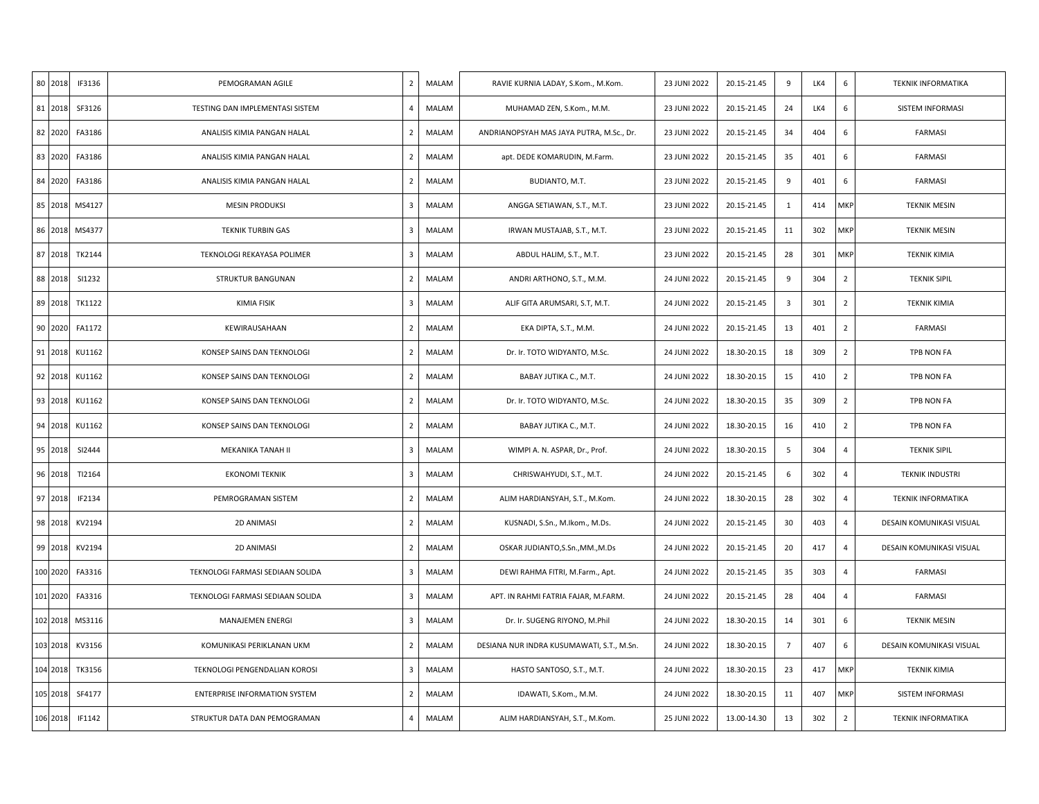| 80 2018  | IF3136 | PEMOGRAMAN AGILE                     | $\overline{2}$ | MALAM | RAVIE KURNIA LADAY, S.Kom., M.Kom.        | 23 JUNI 2022 | 20.15-21.45 | 9                       | LK4 | 6              | <b>TEKNIK INFORMATIKA</b> |
|----------|--------|--------------------------------------|----------------|-------|-------------------------------------------|--------------|-------------|-------------------------|-----|----------------|---------------------------|
| 81 2018  | SF3126 | TESTING DAN IMPLEMENTASI SISTEM      | $\overline{4}$ | MALAM | MUHAMAD ZEN, S.Kom., M.M.                 | 23 JUNI 2022 | 20.15-21.45 | 24                      | LK4 | 6              | SISTEM INFORMASI          |
| 82 2020  | FA3186 | ANALISIS KIMIA PANGAN HALAL          | $\overline{2}$ | MALAM | ANDRIANOPSYAH MAS JAYA PUTRA, M.Sc., Dr.  | 23 JUNI 2022 | 20.15-21.45 | 34                      | 404 | 6              | <b>FARMASI</b>            |
| 83 2020  | FA3186 | ANALISIS KIMIA PANGAN HALAL          | $\overline{2}$ | MALAM | apt. DEDE KOMARUDIN, M.Farm.              | 23 JUNI 2022 | 20.15-21.45 | 35                      | 401 | 6              | <b>FARMASI</b>            |
| 84 2020  | FA3186 | ANALISIS KIMIA PANGAN HALAL          | $\overline{2}$ | MALAM | BUDIANTO, M.T.                            | 23 JUNI 2022 | 20.15-21.45 | 9                       | 401 | 6              | <b>FARMASI</b>            |
| 85 2018  | MS4127 | <b>MESIN PRODUKSI</b>                | 3              | MALAM | ANGGA SETIAWAN, S.T., M.T.                | 23 JUNI 2022 | 20.15-21.45 | 1                       | 414 | MKP            | <b>TEKNIK MESIN</b>       |
| 86 2018  | MS4377 | <b>TEKNIK TURBIN GAS</b>             | 3              | MALAM | IRWAN MUSTAJAB, S.T., M.T.                | 23 JUNI 2022 | 20.15-21.45 | 11                      | 302 | MKP            | <b>TEKNIK MESIN</b>       |
| 87 2018  | TK2144 | TEKNOLOGI REKAYASA POLIMER           | $\overline{3}$ | MALAM | ABDUL HALIM, S.T., M.T.                   | 23 JUNI 2022 | 20.15-21.45 | 28                      | 301 | MKP            | <b>TEKNIK KIMIA</b>       |
| 88 2018  | SI1232 | STRUKTUR BANGUNAN                    | $\overline{2}$ | MALAM | ANDRI ARTHONO, S.T., M.M.                 | 24 JUNI 2022 | 20.15-21.45 | 9                       | 304 | $\overline{2}$ | <b>TEKNIK SIPIL</b>       |
| 89 2018  | TK1122 | KIMIA FISIK                          | $\overline{3}$ | MALAM | ALIF GITA ARUMSARI, S.T, M.T.             | 24 JUNI 2022 | 20.15-21.45 | $\overline{\mathbf{3}}$ | 301 | $\overline{2}$ | <b>TEKNIK KIMIA</b>       |
| 90 2020  | FA1172 | KEWIRAUSAHAAN                        | $\overline{2}$ | MALAM | EKA DIPTA, S.T., M.M.                     | 24 JUNI 2022 | 20.15-21.45 | 13                      | 401 | $\overline{2}$ | <b>FARMASI</b>            |
| 91 2018  | KU1162 | KONSEP SAINS DAN TEKNOLOGI           | $\overline{2}$ | MALAM | Dr. Ir. TOTO WIDYANTO, M.Sc.              | 24 JUNI 2022 | 18.30-20.15 | 18                      | 309 | $\overline{2}$ | TPB NON FA                |
| 92 2018  | KU1162 | KONSEP SAINS DAN TEKNOLOGI           | $\overline{2}$ | MALAM | BABAY JUTIKA C., M.T.                     | 24 JUNI 2022 | 18.30-20.15 | 15                      | 410 | $\overline{2}$ | TPB NON FA                |
| 93 2018  | KU1162 | KONSEP SAINS DAN TEKNOLOGI           | $\overline{2}$ | MALAM | Dr. Ir. TOTO WIDYANTO, M.Sc.              | 24 JUNI 2022 | 18.30-20.15 | 35                      | 309 | $\overline{2}$ | TPB NON FA                |
| 94 2018  | KU1162 | KONSEP SAINS DAN TEKNOLOGI           | $\overline{2}$ | MALAM | BABAY JUTIKA C., M.T.                     | 24 JUNI 2022 | 18.30-20.15 | 16                      | 410 | $\overline{2}$ | TPB NON FA                |
| 95 2018  | SI2444 | MEKANIKA TANAH II                    | 3              | MALAM | WIMPI A. N. ASPAR, Dr., Prof.             | 24 JUNI 2022 | 18.30-20.15 | 5                       | 304 | $\overline{4}$ | <b>TEKNIK SIPIL</b>       |
| 96 2018  | TI2164 | <b>EKONOMI TEKNIK</b>                | $\overline{3}$ | MALAM | CHRISWAHYUDI, S.T., M.T.                  | 24 JUNI 2022 | 20.15-21.45 | 6                       | 302 | $\overline{4}$ | <b>TEKNIK INDUSTRI</b>    |
| 97 2018  | IF2134 | PEMROGRAMAN SISTEM                   | $\overline{2}$ | MALAM | ALIM HARDIANSYAH, S.T., M.Kom.            | 24 JUNI 2022 | 18.30-20.15 | 28                      | 302 | $\overline{4}$ | <b>TEKNIK INFORMATIKA</b> |
| 98 2018  | KV2194 | 2D ANIMASI                           | $\overline{2}$ | MALAM | KUSNADI, S.Sn., M.Ikom., M.Ds.            | 24 JUNI 2022 | 20.15-21.45 | 30                      | 403 | $\overline{4}$ | DESAIN KOMUNIKASI VISUAL  |
| 99 2018  | KV2194 | <b>2D ANIMASI</b>                    | $\overline{2}$ | MALAM | OSKAR JUDIANTO, S.Sn., MM., M.Ds          | 24 JUNI 2022 | 20.15-21.45 | 20                      | 417 | $\overline{4}$ | DESAIN KOMUNIKASI VISUAL  |
| 100 2020 | FA3316 | TEKNOLOGI FARMASI SEDIAAN SOLIDA     | $\overline{3}$ | MALAM | DEWI RAHMA FITRI, M.Farm., Apt.           | 24 JUNI 2022 | 20.15-21.45 | 35                      | 303 | 4              | <b>FARMASI</b>            |
| 101 2020 | FA3316 | TEKNOLOGI FARMASI SEDIAAN SOLIDA     | 3              | MALAM | APT. IN RAHMI FATRIA FAJAR, M.FARM.       | 24 JUNI 2022 | 20.15-21.45 | 28                      | 404 | $\overline{4}$ | FARMASI                   |
| 102 2018 | MS3116 | <b>MANAJEMEN ENERGI</b>              | 3              | MALAM | Dr. Ir. SUGENG RIYONO, M.Phil             | 24 JUNI 2022 | 18.30-20.15 | 14                      | 301 | 6              | <b>TEKNIK MESIN</b>       |
| 103 2018 | KV3156 | KOMUNIKASI PERIKLANAN UKM            | $\overline{2}$ | MALAM | DESIANA NUR INDRA KUSUMAWATI, S.T., M.Sn. | 24 JUNI 2022 | 18.30-20.15 | $\overline{7}$          | 407 | 6              | DESAIN KOMUNIKASI VISUAL  |
| 104 2018 | TK3156 | TEKNOLOGI PENGENDALIAN KOROSI        | 3              | MALAM | HASTO SANTOSO, S.T., M.T.                 | 24 JUNI 2022 | 18.30-20.15 | 23                      | 417 | MKP            | <b>TEKNIK KIMIA</b>       |
| 105 2018 | SF4177 | <b>ENTERPRISE INFORMATION SYSTEM</b> | $\overline{2}$ | MALAM | IDAWATI, S.Kom., M.M.                     | 24 JUNI 2022 | 18.30-20.15 | 11                      | 407 | MKP            | SISTEM INFORMASI          |
| 106 2018 | IF1142 | STRUKTUR DATA DAN PEMOGRAMAN         | 4              | MALAM | ALIM HARDIANSYAH, S.T., M.Kom.            | 25 JUNI 2022 | 13.00-14.30 | 13                      | 302 | $\overline{2}$ | <b>TEKNIK INFORMATIKA</b> |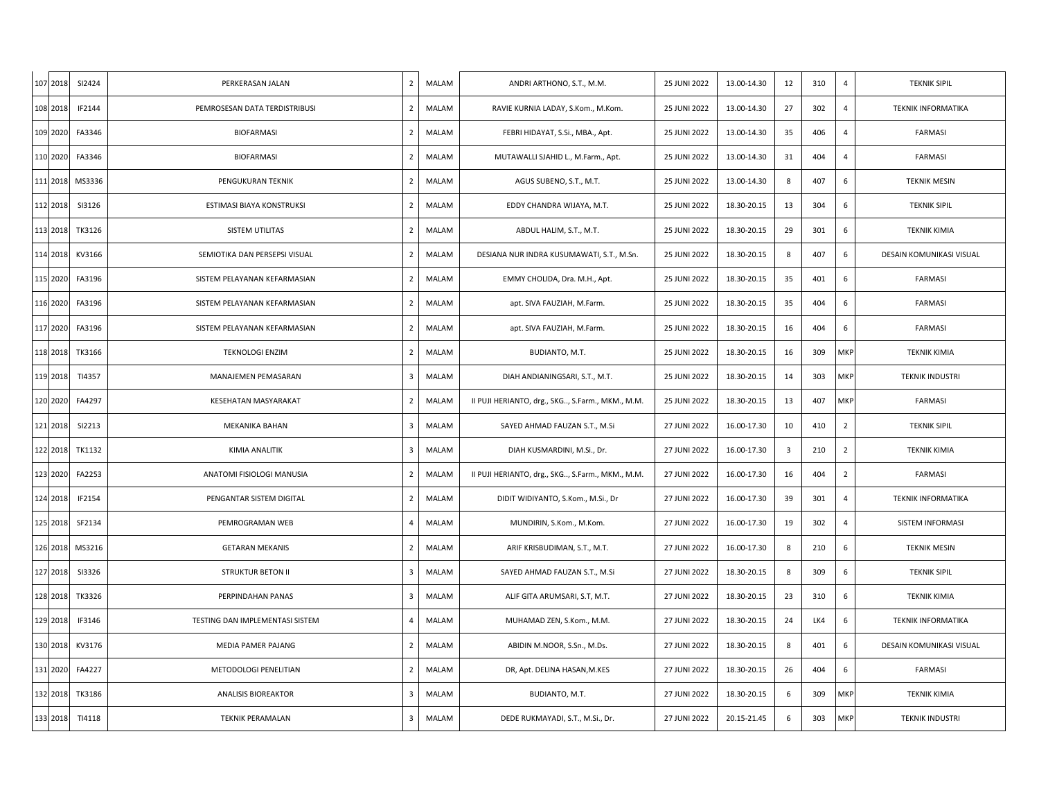| 107 2018 | SI2424 | PERKERASAN JALAN                | $\overline{2}$ | MALAM        | ANDRI ARTHONO, S.T., M.M.                        | 25 JUNI 2022 | 13.00-14.30 | 12                      | 310 | $\overline{4}$ | <b>TEKNIK SIPIL</b>       |
|----------|--------|---------------------------------|----------------|--------------|--------------------------------------------------|--------------|-------------|-------------------------|-----|----------------|---------------------------|
| 108 2018 | IF2144 | PEMROSESAN DATA TERDISTRIBUSI   | $\overline{2}$ | MALAM        | RAVIE KURNIA LADAY, S.Kom., M.Kom.               | 25 JUNI 2022 | 13.00-14.30 | 27                      | 302 | $\overline{4}$ | <b>TEKNIK INFORMATIKA</b> |
| 109 2020 | FA3346 | <b>BIOFARMASI</b>               | $\overline{2}$ | MALAM        | FEBRI HIDAYAT, S.Si., MBA., Apt.                 | 25 JUNI 2022 | 13.00-14.30 | 35                      | 406 | $\overline{4}$ | FARMASI                   |
| 110 2020 | FA3346 | <b>BIOFARMASI</b>               | $\overline{2}$ | MALAM        | MUTAWALLI SJAHID L., M.Farm., Apt.               | 25 JUNI 2022 | 13.00-14.30 | 31                      | 404 | $\overline{4}$ | <b>FARMASI</b>            |
| 111 2018 | MS3336 | PENGUKURAN TEKNIK               | $\overline{2}$ | MALAM        | AGUS SUBENO, S.T., M.T.                          | 25 JUNI 2022 | 13.00-14.30 | 8                       | 407 | 6              | <b>TEKNIK MESIN</b>       |
| 112 2018 | SI3126 | ESTIMASI BIAYA KONSTRUKSI       | $\overline{2}$ | MALAM        | EDDY CHANDRA WIJAYA, M.T.                        | 25 JUNI 2022 | 18.30-20.15 | 13                      | 304 | 6              | <b>TEKNIK SIPIL</b>       |
| 113 2018 | TK3126 | SISTEM UTILITAS                 | $\overline{2}$ | MALAM        | ABDUL HALIM, S.T., M.T.                          | 25 JUNI 2022 | 18.30-20.15 | 29                      | 301 | 6              | <b>TEKNIK KIMIA</b>       |
| 114 2018 | KV3166 | SEMIOTIKA DAN PERSEPSI VISUAL   | $\overline{2}$ | MALAM        | DESIANA NUR INDRA KUSUMAWATI, S.T., M.Sn.        | 25 JUNI 2022 | 18.30-20.15 | 8                       | 407 | 6              | DESAIN KOMUNIKASI VISUAL  |
| 115 2020 | FA3196 | SISTEM PELAYANAN KEFARMASIAN    | $\overline{2}$ | MALAM        | EMMY CHOLIDA, Dra. M.H., Apt.                    | 25 JUNI 2022 | 18.30-20.15 | 35                      | 401 | 6              | <b>FARMASI</b>            |
| 116 2020 | FA3196 | SISTEM PELAYANAN KEFARMASIAN    | $\overline{2}$ | MALAM        | apt. SIVA FAUZIAH, M.Farm.                       | 25 JUNI 2022 | 18.30-20.15 | 35                      | 404 | 6              | FARMASI                   |
| 117 2020 | FA3196 | SISTEM PELAYANAN KEFARMASIAN    | $\overline{2}$ | MALAM        | apt. SIVA FAUZIAH, M.Farm.                       | 25 JUNI 2022 | 18.30-20.15 | 16                      | 404 | 6              | <b>FARMASI</b>            |
| 118 2018 | TK3166 | <b>TEKNOLOGI ENZIM</b>          | $\overline{2}$ | MALAM        | BUDIANTO, M.T.                                   | 25 JUNI 2022 | 18.30-20.15 | 16                      | 309 | MKP            | <b>TEKNIK KIMIA</b>       |
| 119 2018 | TI4357 | MANAJEMEN PEMASARAN             | 3              | MALAM        | DIAH ANDIANINGSARI, S.T., M.T.                   | 25 JUNI 2022 | 18.30-20.15 | 14                      | 303 | MKP            | <b>TEKNIK INDUSTRI</b>    |
| 120 2020 | FA4297 | KESEHATAN MASYARAKAT            | $\overline{2}$ | <b>MALAM</b> | II PUJI HERIANTO, drg., SKG, S.Farm., MKM., M.M. | 25 JUNI 2022 | 18.30-20.15 | 13                      | 407 | MKP            | <b>FARMASI</b>            |
| 121 2018 | SI2213 | MEKANIKA BAHAN                  | 3              | MALAM        | SAYED AHMAD FAUZAN S.T., M.Si                    | 27 JUNI 2022 | 16.00-17.30 | 10                      | 410 | $\overline{2}$ | <b>TEKNIK SIPIL</b>       |
| 122 2018 | TK1132 | KIMIA ANALITIK                  | 3              | MALAM        | DIAH KUSMARDINI, M.Si., Dr.                      | 27 JUNI 2022 | 16.00-17.30 | $\overline{\mathbf{3}}$ | 210 | $\overline{2}$ | <b>TEKNIK KIMIA</b>       |
| 123 2020 | FA2253 | ANATOMI FISIOLOGI MANUSIA       | $\overline{2}$ | MALAM        | II PUJI HERIANTO, drg., SKG, S.Farm., MKM., M.M. | 27 JUNI 2022 | 16.00-17.30 | 16                      | 404 | 2              | <b>FARMASI</b>            |
| 124 2018 | IF2154 | PENGANTAR SISTEM DIGITAL        | $\overline{2}$ | MALAM        | DIDIT WIDIYANTO, S.Kom., M.Si., Dr               | 27 JUNI 2022 | 16.00-17.30 | 39                      | 301 | $\overline{4}$ | <b>TEKNIK INFORMATIKA</b> |
| 125 2018 | SF2134 | PEMROGRAMAN WEB                 | 4              | MALAM        | MUNDIRIN, S.Kom., M.Kom.                         | 27 JUNI 2022 | 16.00-17.30 | 19                      | 302 | $\overline{4}$ | SISTEM INFORMASI          |
| 126 2018 | MS3216 | <b>GETARAN MEKANIS</b>          | $\overline{2}$ | MALAM        | ARIF KRISBUDIMAN, S.T., M.T.                     | 27 JUNI 2022 | 16.00-17.30 | 8                       | 210 | 6              | <b>TEKNIK MESIN</b>       |
| 127 2018 | SI3326 | <b>STRUKTUR BETON II</b>        | 3              | MALAM        | SAYED AHMAD FAUZAN S.T., M.Si                    | 27 JUNI 2022 | 18.30-20.15 | 8                       | 309 | 6              | <b>TEKNIK SIPIL</b>       |
| 128 2018 | TK3326 | PERPINDAHAN PANAS               | 3              | MALAM        | ALIF GITA ARUMSARI, S.T, M.T.                    | 27 JUNI 2022 | 18.30-20.15 | 23                      | 310 | 6              | <b>TEKNIK KIMIA</b>       |
| 129 2018 | IF3146 | TESTING DAN IMPLEMENTASI SISTEM | 4              | MALAM        | MUHAMAD ZEN, S.Kom., M.M.                        | 27 JUNI 2022 | 18.30-20.15 | 24                      | LK4 | 6              | <b>TEKNIK INFORMATIKA</b> |
| 130 2018 | KV3176 | MEDIA PAMER PAJANG              | $\overline{2}$ | MALAM        | ABIDIN M.NOOR, S.Sn., M.Ds.                      | 27 JUNI 2022 | 18.30-20.15 | 8                       | 401 | 6              | DESAIN KOMUNIKASI VISUAL  |
| 131 2020 | FA4227 | METODOLOGI PENELITIAN           | $\overline{2}$ | MALAM        | DR, Apt. DELINA HASAN, M.KES                     | 27 JUNI 2022 | 18.30-20.15 | 26                      | 404 | 6              | <b>FARMASI</b>            |
| 132 2018 | TK3186 | <b>ANALISIS BIOREAKTOR</b>      | 3              | MALAM        | BUDIANTO, M.T.                                   | 27 JUNI 2022 | 18.30-20.15 | 6                       | 309 | MKP            | <b>TEKNIK KIMIA</b>       |
| 133 2018 | TI4118 | <b>TEKNIK PERAMALAN</b>         | 3              | MALAM        | DEDE RUKMAYADI, S.T., M.Si., Dr.                 | 27 JUNI 2022 | 20.15-21.45 | 6                       | 303 | MKP            | <b>TEKNIK INDUSTRI</b>    |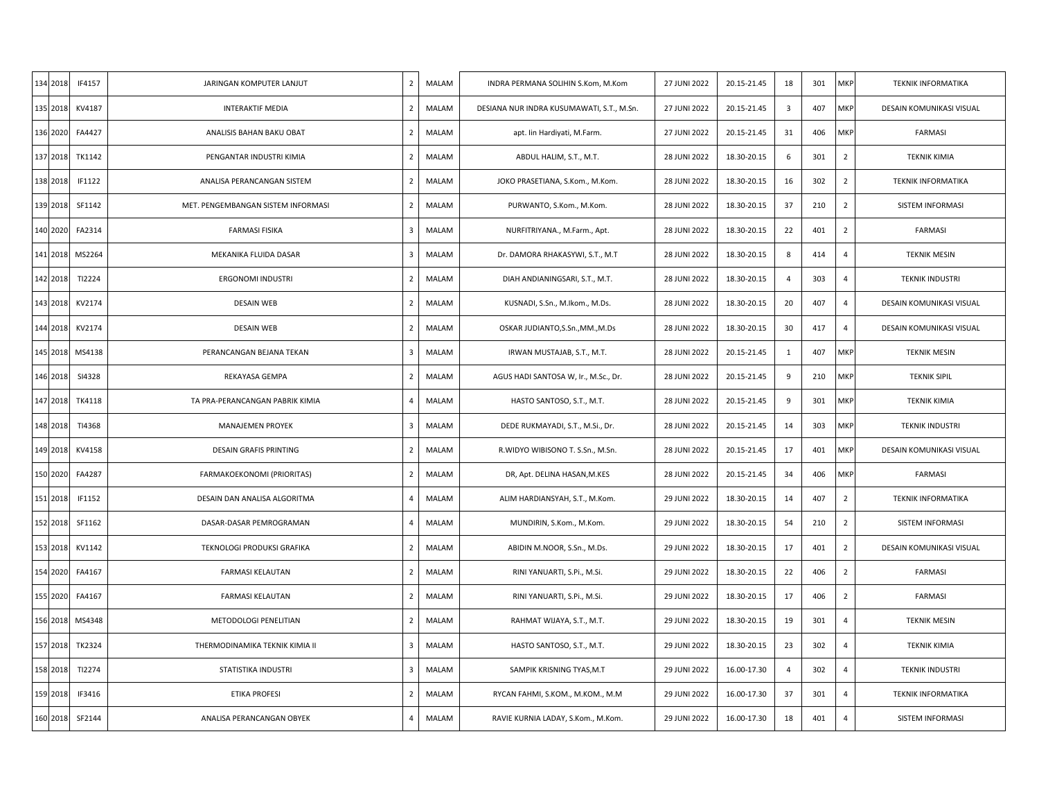| 134 2018<br>IF4157 | JARINGAN KOMPUTER LANJUT           | MALAM<br>$\overline{2}$ | INDRA PERMANA SOLIHIN S.Kom, M.Kom        | 27 JUNI 2022 | 20.15-21.45 | 18             | 301 | MKP            | <b>TEKNIK INFORMATIKA</b> |
|--------------------|------------------------------------|-------------------------|-------------------------------------------|--------------|-------------|----------------|-----|----------------|---------------------------|
| 135 2018<br>KV4187 | <b>INTERAKTIF MEDIA</b>            | $\overline{2}$<br>MALAM | DESIANA NUR INDRA KUSUMAWATI, S.T., M.Sn. | 27 JUNI 2022 | 20.15-21.45 | $\overline{3}$ | 407 | MKP            | DESAIN KOMUNIKASI VISUAL  |
| 136 2020<br>FA4427 | ANALISIS BAHAN BAKU OBAT           | MALAM<br>$\overline{2}$ | apt. Iin Hardiyati, M.Farm.               | 27 JUNI 2022 | 20.15-21.45 | 31             | 406 | <b>MKP</b>     | <b>FARMASI</b>            |
| 137 2018<br>TK1142 | PENGANTAR INDUSTRI KIMIA           | $\overline{2}$<br>MALAM | ABDUL HALIM, S.T., M.T.                   | 28 JUNI 2022 | 18.30-20.15 | 6              | 301 | $\overline{2}$ | <b>TEKNIK KIMIA</b>       |
| 138 2018<br>IF1122 | ANALISA PERANCANGAN SISTEM         | $\overline{2}$<br>MALAM | JOKO PRASETIANA, S.Kom., M.Kom.           | 28 JUNI 2022 | 18.30-20.15 | 16             | 302 | $\overline{2}$ | <b>TEKNIK INFORMATIKA</b> |
| 139 2018<br>SF1142 | MET. PENGEMBANGAN SISTEM INFORMASI | $\overline{2}$<br>MALAM | PURWANTO, S.Kom., M.Kom.                  | 28 JUNI 2022 | 18.30-20.15 | 37             | 210 | $\overline{2}$ | SISTEM INFORMASI          |
| FA2314<br>140 2020 | <b>FARMASI FISIKA</b>              | 3<br>MALAM              | NURFITRIYANA., M.Farm., Apt.              | 28 JUNI 2022 | 18.30-20.15 | 22             | 401 | $\overline{2}$ | <b>FARMASI</b>            |
| 141 2018<br>MS2264 | MEKANIKA FLUIDA DASAR              | 3<br>MALAM              | Dr. DAMORA RHAKASYWI, S.T., M.T           | 28 JUNI 2022 | 18.30-20.15 | 8              | 414 | $\overline{4}$ | <b>TEKNIK MESIN</b>       |
| 142 2018<br>TI2224 | ERGONOMI INDUSTRI                  | $\overline{2}$<br>MALAM | DIAH ANDIANINGSARI, S.T., M.T.            | 28 JUNI 2022 | 18.30-20.15 | 4              | 303 | $\overline{4}$ | <b>TEKNIK INDUSTRI</b>    |
| 143 2018<br>KV2174 | <b>DESAIN WEB</b>                  | $\overline{2}$<br>MALAM | KUSNADI, S.Sn., M.Ikom., M.Ds.            | 28 JUNI 2022 | 18.30-20.15 | 20             | 407 | $\overline{4}$ | DESAIN KOMUNIKASI VISUAL  |
| 144 2018<br>KV2174 | <b>DESAIN WEB</b>                  | 2<br>MALAM              | OSKAR JUDIANTO, S.Sn., MM., M.Ds          | 28 JUNI 2022 | 18.30-20.15 | 30             | 417 | $\overline{4}$ | DESAIN KOMUNIKASI VISUAL  |
| 145 2018<br>MS4138 | PERANCANGAN BEJANA TEKAN           | 3<br>MALAM              | IRWAN MUSTAJAB, S.T., M.T.                | 28 JUNI 2022 | 20.15-21.45 | $\mathbf{1}$   | 407 | MKP            | <b>TEKNIK MESIN</b>       |
| SI4328<br>146 2018 | REKAYASA GEMPA                     | $\overline{2}$<br>MALAM | AGUS HADI SANTOSA W, Ir., M.Sc., Dr.      | 28 JUNI 2022 | 20.15-21.45 | 9              | 210 | MKP            | <b>TEKNIK SIPIL</b>       |
| 147 2018<br>TK4118 | TA PRA-PERANCANGAN PABRIK KIMIA    | $\overline{4}$<br>MALAM | HASTO SANTOSO, S.T., M.T.                 | 28 JUNI 2022 | 20.15-21.45 | 9              | 301 | MKP            | <b>TEKNIK KIMIA</b>       |
| 148 2018<br>TI4368 | <b>MANAJEMEN PROYEK</b>            | 3<br>MALAM              | DEDE RUKMAYADI, S.T., M.Si., Dr.          | 28 JUNI 2022 | 20.15-21.45 | 14             | 303 | MKP            | <b>TEKNIK INDUSTRI</b>    |
| 149 2018<br>KV4158 | <b>DESAIN GRAFIS PRINTING</b>      | $\overline{2}$<br>MALAM | R.WIDYO WIBISONO T. S.Sn., M.Sn.          | 28 JUNI 2022 | 20.15-21.45 | 17             | 401 | MKP            | DESAIN KOMUNIKASI VISUAL  |
| 150 2020<br>FA4287 | FARMAKOEKONOMI (PRIORITAS)         | $\overline{2}$<br>MALAM | DR, Apt. DELINA HASAN, M.KES              | 28 JUNI 2022 | 20.15-21.45 | 34             | 406 | MKP            | <b>FARMASI</b>            |
| 151 2018<br>IF1152 | DESAIN DAN ANALISA ALGORITMA       | $\overline{4}$<br>MALAM | ALIM HARDIANSYAH, S.T., M.Kom.            | 29 JUNI 2022 | 18.30-20.15 | 14             | 407 | $\overline{2}$ | <b>TEKNIK INFORMATIKA</b> |
| 152 2018<br>SF1162 | DASAR-DASAR PEMROGRAMAN            | $\overline{4}$<br>MALAM | MUNDIRIN, S.Kom., M.Kom.                  | 29 JUNI 2022 | 18.30-20.15 | 54             | 210 | $\overline{2}$ | SISTEM INFORMASI          |
| 153 2018<br>KV1142 | TEKNOLOGI PRODUKSI GRAFIKA         | $\overline{2}$<br>MALAM | ABIDIN M.NOOR, S.Sn., M.Ds.               | 29 JUNI 2022 | 18.30-20.15 | 17             | 401 | $\overline{2}$ | DESAIN KOMUNIKASI VISUAL  |
| 154 2020<br>FA4167 | <b>FARMASI KELAUTAN</b>            | $\overline{2}$<br>MALAM | RINI YANUARTI, S.Pi., M.Si.               | 29 JUNI 2022 | 18.30-20.15 | 22             | 406 | $\overline{2}$ | <b>FARMASI</b>            |
| 155 2020<br>FA4167 | <b>FARMASI KELAUTAN</b>            | $\overline{2}$<br>MALAM | RINI YANUARTI, S.Pi., M.Si.               | 29 JUNI 2022 | 18.30-20.15 | 17             | 406 | $\overline{2}$ | <b>FARMASI</b>            |
| 156 2018<br>MS4348 | METODOLOGI PENELITIAN              | $\overline{2}$<br>MALAM | RAHMAT WIJAYA, S.T., M.T.                 | 29 JUNI 2022 | 18.30-20.15 | 19             | 301 | $\overline{4}$ | <b>TEKNIK MESIN</b>       |
| 157 2018<br>TK2324 | THERMODINAMIKA TEKNIK KIMIA II     | 3<br>MALAM              | HASTO SANTOSO, S.T., M.T.                 | 29 JUNI 2022 | 18.30-20.15 | 23             | 302 | $\overline{4}$ | <b>TEKNIK KIMIA</b>       |
| 158 2018<br>TI2274 | STATISTIKA INDUSTRI                | 3<br>MALAM              | SAMPIK KRISNING TYAS, M.T                 | 29 JUNI 2022 | 16.00-17.30 | 4              | 302 | $\overline{4}$ | <b>TEKNIK INDUSTRI</b>    |
| 159 2018<br>IF3416 | <b>ETIKA PROFESI</b>               | $\overline{2}$<br>MALAM | RYCAN FAHMI, S.KOM., M.KOM., M.M          | 29 JUNI 2022 | 16.00-17.30 | 37             | 301 | $\overline{4}$ | <b>TEKNIK INFORMATIKA</b> |
| 160 2018 SF2144    | ANALISA PERANCANGAN OBYEK          | $\overline{4}$<br>MALAM | RAVIE KURNIA LADAY, S.Kom., M.Kom.        | 29 JUNI 2022 | 16.00-17.30 | 18             | 401 | $\overline{4}$ | SISTEM INFORMASI          |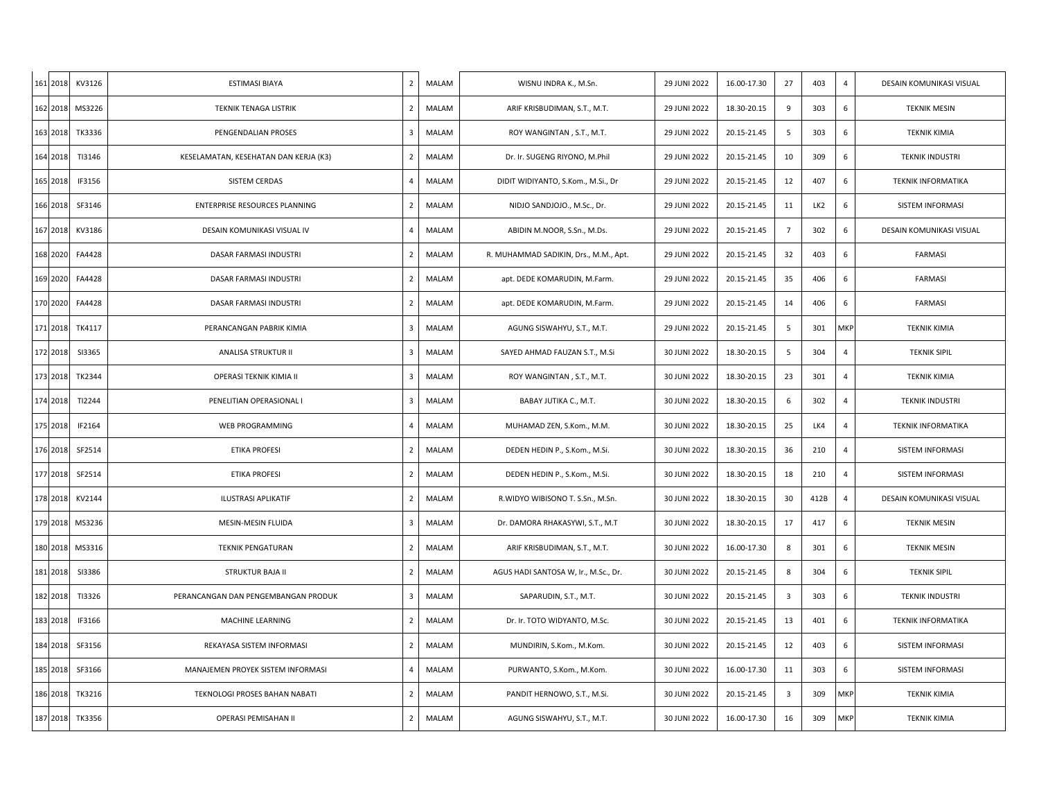| 161 2018 KV3126    | ESTIMASI BIAYA                        | $\overline{2}$ | MALAM | WISNU INDRA K., M.Sn.                 | 29 JUNI 2022 | 16.00-17.30 | 27                      | 403             | $\overline{4}$ | DESAIN KOMUNIKASI VISUAL  |
|--------------------|---------------------------------------|----------------|-------|---------------------------------------|--------------|-------------|-------------------------|-----------------|----------------|---------------------------|
| 162 2018 MS3226    | TEKNIK TENAGA LISTRIK                 | $\overline{2}$ | MALAM | ARIF KRISBUDIMAN, S.T., M.T.          | 29 JUNI 2022 | 18.30-20.15 | 9                       | 303             | 6              | <b>TEKNIK MESIN</b>       |
| 163 2018 TK3336    | PENGENDALIAN PROSES                   | 3              | MALAM | ROY WANGINTAN, S.T., M.T.             | 29 JUNI 2022 | 20.15-21.45 | 5                       | 303             | 6              | <b>TEKNIK KIMIA</b>       |
| 164 2018<br>TI3146 | KESELAMATAN, KESEHATAN DAN KERJA (K3) | $\overline{2}$ | MALAM | Dr. Ir. SUGENG RIYONO, M.Phil         | 29 JUNI 2022 | 20.15-21.45 | 10                      | 309             | 6              | <b>TEKNIK INDUSTRI</b>    |
| 165 2018<br>IF3156 | SISTEM CERDAS                         | $\overline{4}$ | MALAM | DIDIT WIDIYANTO, S.Kom., M.Si., Dr    | 29 JUNI 2022 | 20.15-21.45 | 12                      | 407             | 6              | <b>TEKNIK INFORMATIKA</b> |
| 166 2018<br>SF3146 | ENTERPRISE RESOURCES PLANNING         | $\overline{2}$ | MALAM | NIDJO SANDJOJO., M.Sc., Dr.           | 29 JUNI 2022 | 20.15-21.45 | 11                      | LK <sub>2</sub> | 6              | SISTEM INFORMASI          |
| 167 2018<br>KV3186 | DESAIN KOMUNIKASI VISUAL IV           | $\overline{4}$ | MALAM | ABIDIN M.NOOR, S.Sn., M.Ds.           | 29 JUNI 2022 | 20.15-21.45 | $\overline{7}$          | 302             | 6              | DESAIN KOMUNIKASI VISUAL  |
| 168 2020<br>FA4428 | DASAR FARMASI INDUSTRI                | $\overline{2}$ | MALAM | R. MUHAMMAD SADIKIN, Drs., M.M., Apt. | 29 JUNI 2022 | 20.15-21.45 | 32                      | 403             | 6              | <b>FARMASI</b>            |
| 169 2020<br>FA4428 | DASAR FARMASI INDUSTRI                | $\overline{2}$ | MALAM | apt. DEDE KOMARUDIN, M.Farm.          | 29 JUNI 2022 | 20.15-21.45 | 35                      | 406             | 6              | <b>FARMASI</b>            |
| 170 2020<br>FA4428 | DASAR FARMASI INDUSTRI                | $\overline{2}$ | MALAM | apt. DEDE KOMARUDIN, M.Farm.          | 29 JUNI 2022 | 20.15-21.45 | 14                      | 406             | 6              | FARMASI                   |
| 171 2018<br>TK4117 | PERANCANGAN PABRIK KIMIA              | 3              | MALAM | AGUNG SISWAHYU, S.T., M.T.            | 29 JUNI 2022 | 20.15-21.45 | 5                       | 301             | <b>MKP</b>     | <b>TEKNIK KIMIA</b>       |
| 172 2018<br>SI3365 | ANALISA STRUKTUR II                   | 3              | MALAM | SAYED AHMAD FAUZAN S.T., M.Si         | 30 JUNI 2022 | 18.30-20.15 | 5                       | 304             | $\overline{4}$ | <b>TEKNIK SIPIL</b>       |
| 173 2018<br>TK2344 | OPERASI TEKNIK KIMIA II               | 3              | MALAM | ROY WANGINTAN, S.T., M.T.             | 30 JUNI 2022 | 18.30-20.15 | 23                      | 301             | $\overline{4}$ | <b>TEKNIK KIMIA</b>       |
| 174 2018<br>TI2244 | PENELITIAN OPERASIONAL I              | 3              | MALAM | BABAY JUTIKA C., M.T.                 | 30 JUNI 2022 | 18.30-20.15 | 6                       | 302             | $\overline{4}$ | <b>TEKNIK INDUSTRI</b>    |
| 175 2018<br>IF2164 | WEB PROGRAMMING                       | $\overline{4}$ | MALAM | MUHAMAD ZEN, S.Kom., M.M.             | 30 JUNI 2022 | 18.30-20.15 | 25                      | LK4             | $\overline{4}$ | <b>TEKNIK INFORMATIKA</b> |
| 176 2018<br>SF2514 | <b>ETIKA PROFESI</b>                  | $\overline{2}$ | MALAM | DEDEN HEDIN P., S.Kom., M.Si.         | 30 JUNI 2022 | 18.30-20.15 | 36                      | 210             | $\overline{4}$ | SISTEM INFORMASI          |
| 177 2018<br>SF2514 | <b>ETIKA PROFESI</b>                  | $\overline{2}$ | MALAM | DEDEN HEDIN P., S.Kom., M.Si.         | 30 JUNI 2022 | 18.30-20.15 | 18                      | 210             | $\overline{4}$ | SISTEM INFORMASI          |
| 178 2018<br>KV2144 | <b>ILUSTRASI APLIKATIF</b>            | $\overline{2}$ | MALAM | R.WIDYO WIBISONO T. S.Sn., M.Sn.      | 30 JUNI 2022 | 18.30-20.15 | 30                      | 412B            | $\overline{4}$ | DESAIN KOMUNIKASI VISUAL  |
| 179 2018 MS3236    | MESIN-MESIN FLUIDA                    | 3              | MALAM | Dr. DAMORA RHAKASYWI, S.T., M.T       | 30 JUNI 2022 | 18.30-20.15 | 17                      | 417             | 6              | <b>TEKNIK MESIN</b>       |
| 180 2018<br>MS3316 | <b>TEKNIK PENGATURAN</b>              | $\overline{2}$ | MALAM | ARIF KRISBUDIMAN, S.T., M.T.          | 30 JUNI 2022 | 16.00-17.30 | 8                       | 301             | 6              | <b>TEKNIK MESIN</b>       |
| 181 2018<br>SI3386 | <b>STRUKTUR BAJA II</b>               | $\overline{2}$ | MALAM | AGUS HADI SANTOSA W, Ir., M.Sc., Dr.  | 30 JUNI 2022 | 20.15-21.45 | 8                       | 304             | 6              | <b>TEKNIK SIPIL</b>       |
| 182 2018<br>TI3326 | PERANCANGAN DAN PENGEMBANGAN PRODUK   | 3              | MALAM | SAPARUDIN, S.T., M.T.                 | 30 JUNI 2022 | 20.15-21.45 | $\overline{\mathbf{3}}$ | 303             | 6              | <b>TEKNIK INDUSTRI</b>    |
| 183 2018<br>IF3166 | MACHINE LEARNING                      | $\overline{2}$ | MALAM | Dr. Ir. TOTO WIDYANTO, M.Sc.          | 30 JUNI 2022 | 20.15-21.45 | 13                      | 401             | 6              | <b>TEKNIK INFORMATIKA</b> |
| 184 2018<br>SF3156 | REKAYASA SISTEM INFORMASI             | $\overline{2}$ | MALAM | MUNDIRIN, S.Kom., M.Kom.              | 30 JUNI 2022 | 20.15-21.45 | 12                      | 403             | 6              | SISTEM INFORMASI          |
| 185 2018<br>SF3166 | MANAJEMEN PROYEK SISTEM INFORMASI     | $\overline{4}$ | MALAM | PURWANTO, S.Kom., M.Kom.              | 30 JUNI 2022 | 16.00-17.30 | 11                      | 303             | 6              | SISTEM INFORMASI          |
| 186 2018<br>TK3216 | TEKNOLOGI PROSES BAHAN NABATI         | $\overline{2}$ | MALAM | PANDIT HERNOWO, S.T., M.Si.           | 30 JUNI 2022 | 20.15-21.45 | $\overline{\mathbf{3}}$ | 309             | MKP            | <b>TEKNIK KIMIA</b>       |
| 187 2018 TK3356    | OPERASI PEMISAHAN II                  | $\overline{2}$ | MALAM | AGUNG SISWAHYU, S.T., M.T.            | 30 JUNI 2022 | 16.00-17.30 | 16                      | 309             | <b>MKP</b>     | <b>TEKNIK KIMIA</b>       |